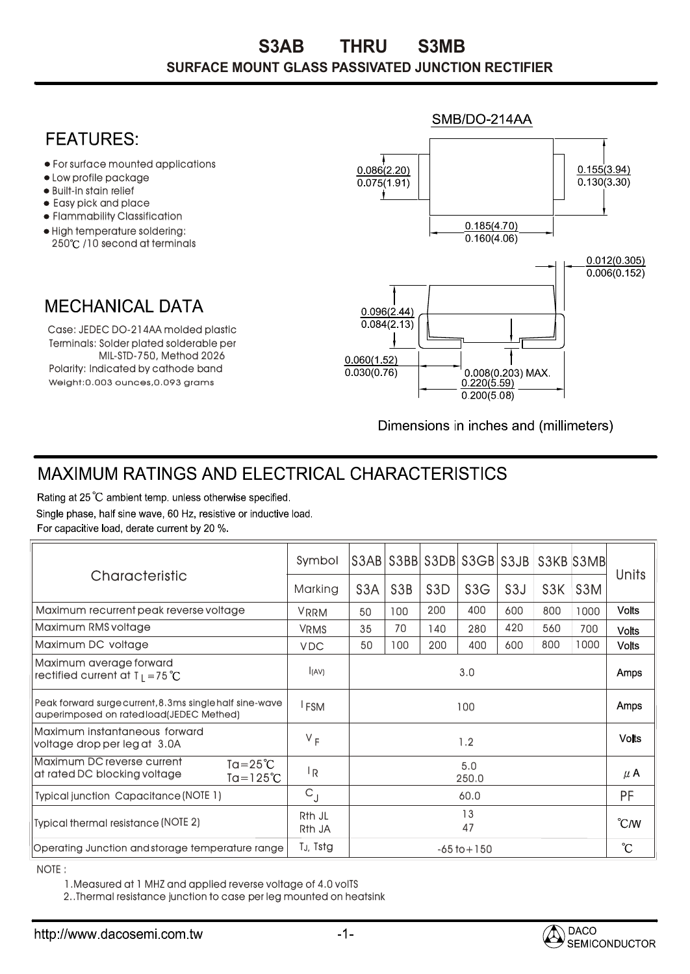## **FFATURFS:**

- For surface mounted applications
- Low profile package
- Built-in stain relief
- Easy pick and place
- Flammability Classification
- High temperature soldering: 250°C /10 second at terminals

## **MECHANICAL DATA**

Weight:0.003 ounces,0.093 grams Terminals: Solder plated solderable per MIL-STD-750, Method 2026 Case: JEDEC DO-214AA molded plastic Polarity: Indicated by cathode band



Dimensions in inches and (millimeters)

## **MAXIMUM RATINGS AND ELECTRICAL CHARACTERISTICS**

Rating at 25 °C ambient temp. unless otherwise specified. Single phase, half sine wave, 60 Hz, resistive or inductive load. For capacitive load, derate current by 20 %.

| Characteristic                                                                                          | Symbol                       | S3AB             |                  |                  | S3BB S3DB S3GB S3JB S3KB S3MB |                  |                  |                  | Units           |
|---------------------------------------------------------------------------------------------------------|------------------------------|------------------|------------------|------------------|-------------------------------|------------------|------------------|------------------|-----------------|
|                                                                                                         | Marking                      | S <sub>3</sub> A | S <sub>3</sub> B | S <sub>3</sub> D | S3G                           | S <sub>3</sub> J | S <sub>3</sub> K | S <sub>3</sub> M |                 |
| Maximum recurrent peak reverse voltage                                                                  | <b>VRRM</b>                  | 50               | 100              | 200              | 400                           | 600              | 800              | 1000             | <b>Volts</b>    |
| Maximum RMS voltage                                                                                     | <b>VRMS</b>                  | 35               | 70               | 140              | 280                           | 420              | 560              | 700              | <b>Volts</b>    |
| Maximum DC voltage                                                                                      | <b>VDC</b>                   | 50               | 100              | 200              | 400                           | 600              | 800              | 1000             | <b>Volts</b>    |
| Maximum average forward<br>rectified current at $T_1 = 75^{\circ}C$                                     | (AV)                         | 3.0              |                  |                  |                               |                  |                  |                  | <b>Amps</b>     |
| Peak forward surge current, 8.3 ms single half sine-wave<br>auperimposed on rated load(JEDEC Methed)    | <b>FSM</b>                   | 100              |                  |                  |                               |                  |                  |                  | <b>Amps</b>     |
| Maximum instantaneous forward<br>voltage drop per leg at 3.0A                                           | $V_F$                        | 1.2              |                  |                  |                               |                  |                  |                  | <b>Volts</b>    |
| Maximum DC reverse current<br>$Ta = 25^{\circ}C$<br>at rated DC blocking voltage<br>$Ta = 125^{\circ}C$ | l <sub>R</sub>               | 5.0<br>250.0     |                  |                  |                               |                  |                  |                  | $\mu$ A         |
| Typical junction Capacitance (NOTE 1)                                                                   | $C_{J}$                      | 60.0             |                  |                  |                               |                  |                  |                  | PF              |
| Typical thermal resistance (NOTE 2)                                                                     | R <sub>th</sub> JL<br>Rth JA | 13<br>47         |                  |                  |                               |                  |                  |                  | $\degree$ C/W   |
| Operating Junction and storage temperature range                                                        | T <sub>J</sub> , Tstg        | $-65$ to $+150$  |                  |                  |                               |                  |                  |                  | $\rm ^{\circ}C$ |

NOTE :

1.Measured at 1 MHZ and applied reverse voltage of 4.0 volTS

2..Thermal resistance junction to case per leg mounted on heatsink